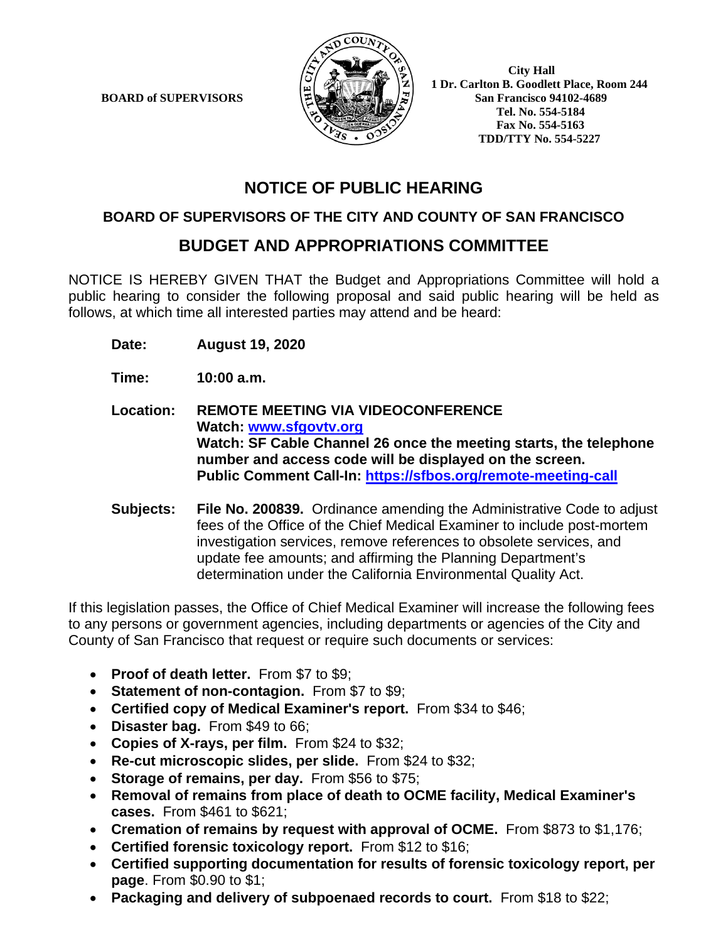**BOARD of SUPERVISORS** 



 **1 Dr. Carlton B. Goodlett Place, Room 244 Tel. No. 554-5184 Fax No. 554-5163 TDD/TTY No. 554-5227**

# **NOTICE OF PUBLIC HEARING**

### **BOARD OF SUPERVISORS OF THE CITY AND COUNTY OF SAN FRANCISCO**

## **BUDGET AND APPROPRIATIONS COMMITTEE**

NOTICE IS HEREBY GIVEN THAT the Budget and Appropriations Committee will hold a public hearing to consider the following proposal and said public hearing will be held as follows, at which time all interested parties may attend and be heard:

**Date: August 19, 2020**

**Time: 10:00 a.m.**

**Location: REMOTE MEETING VIA VIDEOCONFERENCE Watch: www.sfgovtv.org Watch: SF Cable Channel 26 once the meeting starts, the telephone number and access code will be displayed on the screen. Public Comment Call-In: https://sfbos.org/remote-meeting-call** 

**Subjects: File No. 200839.** Ordinance amending the Administrative Code to adjust fees of the Office of the Chief Medical Examiner to include post-mortem investigation services, remove references to obsolete services, and update fee amounts; and affirming the Planning Department's determination under the California Environmental Quality Act.

If this legislation passes, the Office of Chief Medical Examiner will increase the following fees to any persons or government agencies, including departments or agencies of the City and County of San Francisco that request or require such documents or services:

- **Proof of death letter.** From \$7 to \$9;
- **Statement of non-contagion.** From \$7 to \$9;
- **Certified copy of Medical Examiner's report.** From \$34 to \$46;
- **Disaster bag.** From \$49 to 66;
- **Copies of X-rays, per film.** From \$24 to \$32;
- **Re-cut microscopic slides, per slide.** From \$24 to \$32;
- **Storage of remains, per day.** From \$56 to \$75;
- **Removal of remains from place of death to OCME facility, Medical Examiner's cases.** From \$461 to \$621;
- **Cremation of remains by request with approval of OCME.** From \$873 to \$1,176;
- **Certified forensic toxicology report.** From \$12 to \$16;
- **Certified supporting documentation for results of forensic toxicology report, per page**. From \$0.90 to \$1;
- **Packaging and delivery of subpoenaed records to court.** From \$18 to \$22;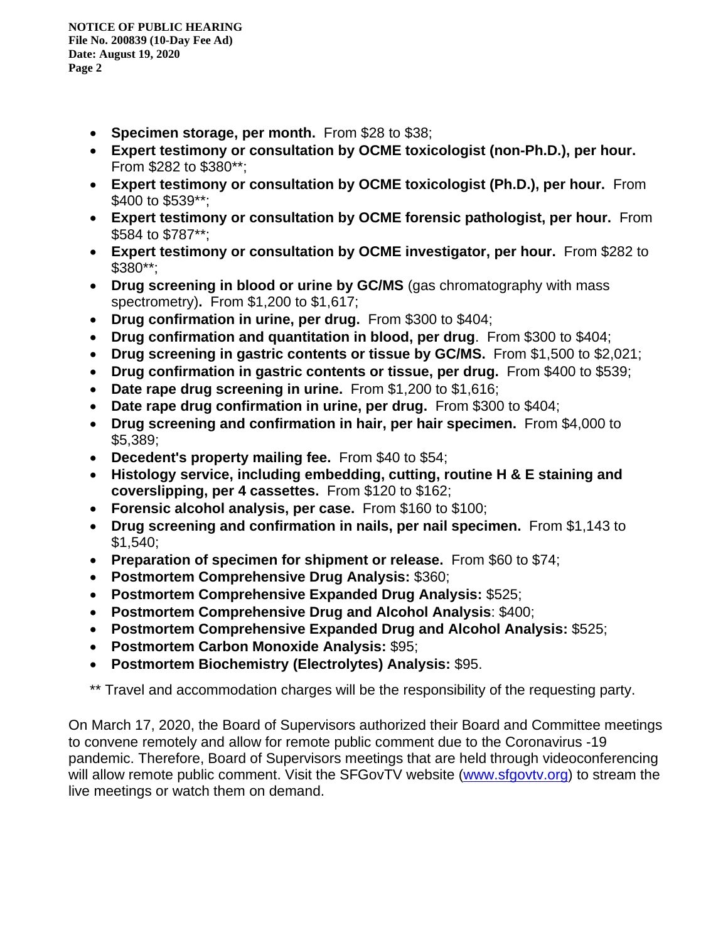- **Specimen storage, per month.** From \$28 to \$38;
- **Expert testimony or consultation by OCME toxicologist (non-Ph.D.), per hour.** From \$282 to \$380\*\*;
- **Expert testimony or consultation by OCME toxicologist (Ph.D.), per hour.** From \$400 to \$539\*\*;
- **Expert testimony or consultation by OCME forensic pathologist, per hour.** From \$584 to \$787\*\*;
- **Expert testimony or consultation by OCME investigator, per hour.** From \$282 to \$380\*\*;
- **Drug screening in blood or urine by GC/MS** (gas chromatography with mass spectrometry)**.** From \$1,200 to \$1,617;
- **Drug confirmation in urine, per drug.** From \$300 to \$404;
- **Drug confirmation and quantitation in blood, per drug**. From \$300 to \$404;
- **Drug screening in gastric contents or tissue by GC/MS.** From \$1,500 to \$2,021;
- **Drug confirmation in gastric contents or tissue, per drug.** From \$400 to \$539;
- **Date rape drug screening in urine.** From \$1,200 to \$1,616;
- **Date rape drug confirmation in urine, per drug.** From \$300 to \$404;
- **Drug screening and confirmation in hair, per hair specimen.** From \$4,000 to \$5,389;
- **Decedent's property mailing fee.** From \$40 to \$54;
- **Histology service, including embedding, cutting, routine H & E staining and coverslipping, per 4 cassettes.** From \$120 to \$162;
- **Forensic alcohol analysis, per case.** From \$160 to \$100;
- **Drug screening and confirmation in nails, per nail specimen.** From \$1,143 to \$1,540;
- **Preparation of specimen for shipment or release.** From \$60 to \$74;
- **Postmortem Comprehensive Drug Analysis:** \$360;
- **Postmortem Comprehensive Expanded Drug Analysis:** \$525;
- **Postmortem Comprehensive Drug and Alcohol Analysis**: \$400;
- **Postmortem Comprehensive Expanded Drug and Alcohol Analysis:** \$525;
- **Postmortem Carbon Monoxide Analysis:** \$95;
- **Postmortem Biochemistry (Electrolytes) Analysis:** \$95.

\*\* Travel and accommodation charges will be the responsibility of the requesting party.

On March 17, 2020, the Board of Supervisors authorized their Board and Committee meetings to convene remotely and allow for remote public comment due to the Coronavirus -19 pandemic. Therefore, Board of Supervisors meetings that are held through videoconferencing will allow remote public comment. Visit the SFGovTV website (www.sfgovtv.org) to stream the live meetings or watch them on demand.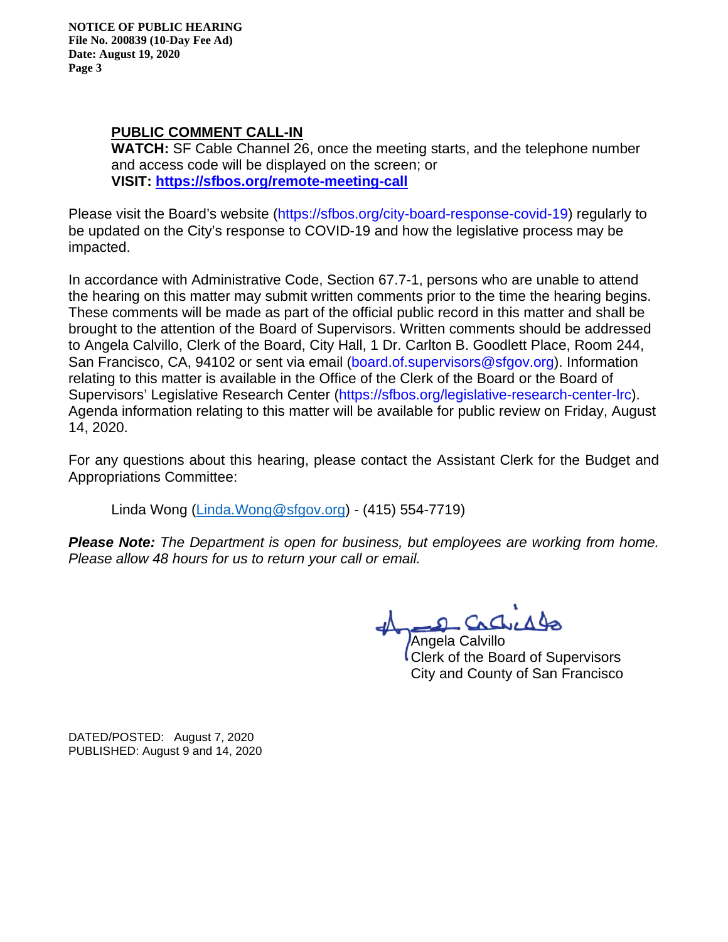**NOTICE OF PUBLIC HEARING File No. 200839 (10-Day Fee Ad) Date: August 19, 2020 Page 3** 

### **PUBLIC COMMENT CALL-IN**

**WATCH:** SF Cable Channel 26, once the meeting starts, and the telephone number and access code will be displayed on the screen; or **VISIT: https://sfbos.org/remote-meeting-call** 

Please visit the Board's website (https://sfbos.org/city-board-response-covid-19) regularly to be updated on the City's response to COVID-19 and how the legislative process may be impacted.

In accordance with Administrative Code, Section 67.7-1, persons who are unable to attend the hearing on this matter may submit written comments prior to the time the hearing begins. These comments will be made as part of the official public record in this matter and shall be brought to the attention of the Board of Supervisors. Written comments should be addressed to Angela Calvillo, Clerk of the Board, City Hall, 1 Dr. Carlton B. Goodlett Place, Room 244, San Francisco, CA, 94102 or sent via email (board.of.supervisors@sfgov.org). Information relating to this matter is available in the Office of the Clerk of the Board or the Board of Supervisors' Legislative Research Center (https://sfbos.org/legislative-research-center-lrc). Agenda information relating to this matter will be available for public review on Friday, August 14, 2020.

For any questions about this hearing, please contact the Assistant Clerk for the Budget and Appropriations Committee:

Linda Wong (Linda.Wong@sfgov.org) - (415) 554-7719)

*Please Note: The Department is open for business, but employees are working from home. Please allow 48 hours for us to return your call or email.* 

2 Cacheddo

Angela Calvillo Clerk of the Board of Supervisors City and County of San Francisco

DATED/POSTED: August 7, 2020 PUBLISHED: August 9 and 14, 2020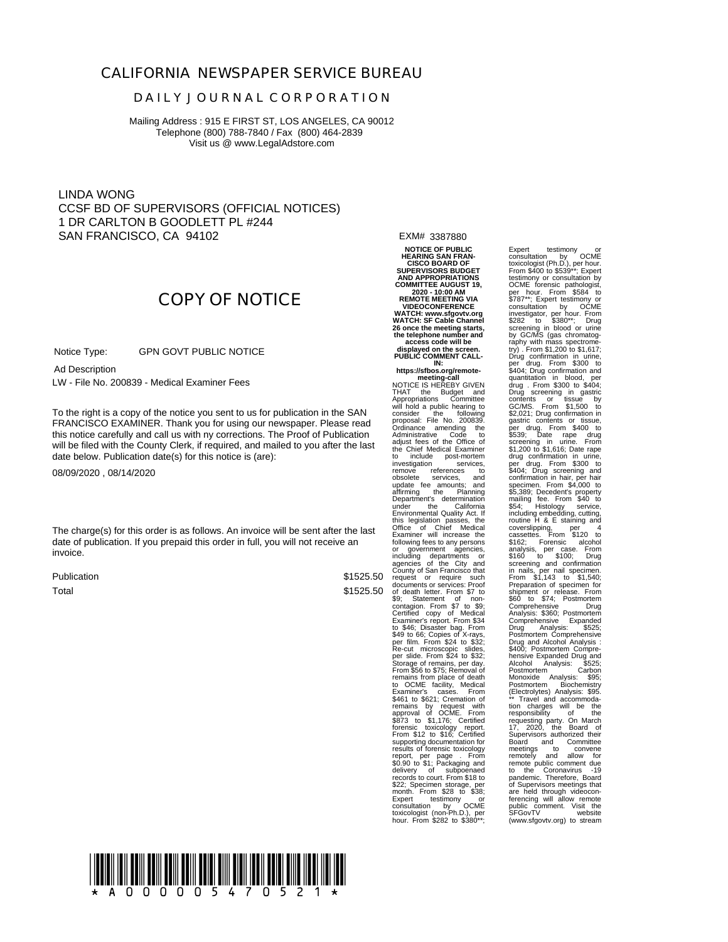#### **CALIFORNIA NEWSPAPER SERVICE BUREAU**

#### **D A I L Y J O U R N A L C O R P O R A T I O N**

Mailing Address : 915 E FIRST ST, LOS ANGELES, CA 90012 Telephone (800) 788-7840 / Fax (800) 464-2839 Visit us @ www.LegalAdstore.com

LINDA WONG CCSF BD OF SUPERVISORS (OFFICIAL NOTICES) 1 DR CARLTON B GOODLETT PL #244 SAN FRANCISCO, CA 94102

## **COPY OF NOTICE**

 GPN GOVT PUBLIC NOTICE Notice Type:

Ad Description

LW - File No. 200839 - Medical Examiner Fees

FRANCISCO EXAMINER. Thank you for using our newspaper. Please read<br>this notice carefully and call us with ny corrections. The Proof of Publication To the right is a copy of the notice you sent to us for publication in the SAN FRANCISCO EXAMINER. Thank you for using our newspaper. Please read will be filed with the County Clerk, if required, and mailed to you after the last date below. Publication date(s) for this notice is (are):

08/09/2020 , 08/14/2020

The charge(s) for this order is as follows. An invoice will be sent after the last date of publication. If you prepaid this order in full, you will not receive an invoice.

Publication Total

\$1525.50

EXM# 3387880

**NOTICE OF PUBLIC HEARING SAN FRAN-CISCO BOARD OF SUPERVISORS BUDGET AND APPROPRIATIONS COMMITTEE AUGUST 19, 2020 - 10:00 AM REMOTE MEETING VIA VIDEOCONFERENCE WATCH: www.sfgovtv.org WATCH: SF Cable Channel** 26 once the meeting starts,<br>the telephone number and<br>access code will be<br>displayed on the screen.<br>PUBLIC COMMENT CALL-

**IN: https://sfbos.org/remotemeeting-call**<br>NOTICE IS HEREBY GIVEN

Examine will increase the<br>
Example of the computer of the computation of the computer<br>
single computer of the City and<br>
\$1525.50 centures of the City and<br>
\$1525.50 centures the computer<br>
\$1525.50 decements of services: Pro NOTICE IS HEREBY GIVEN<br>THAT the Budget and<br>Appropriations Committee<br>consider the following to<br>consider the following<br>proposal: File No. 200839.<br>Ordinance amending the<br>Administrative Code to<br>adjust fees of the Office of the to include post-mortem investigation services, to<br>obsolete services, and<br>update fee amounts; and<br>affirming the Planning<br>Department's determination<br>Department's determination<br>Environmental Quality Act. If this legislation passes, the Office of Chief Medical Examiner will increase the<br>community increase the consumer of loolowing fees to any persons<br>agencies of the City and<br>agencies of the City and<br>county of San Francisco that City and<br>request or require such<br>documents or requi From sho to  $$3/5$ ; Removal or<br>remains from place of death<br>to OCME facility, Medical<br>Examiner's cases. From<br>\$41,166, Certified approval of OCME. From<br>approval of OCME. From<br>\$873 to \$1,176; Certified<br>\$873 to \$1,176; Certifi forensic toxicology report. From \$12 to \$16; Certified supporting documentation for results of forensic toxicology report, per page . From \$0.90 to \$1; Packaging and delivery of subpoenaed records to court. From \$18 to \$22; Specimen storage, per month. From \$28 to \$38; Expert testimony or<br>consultation by OCME<br>toxicologist (non-Ph.D.), per<br>hour. From \$282 to \$380\*\*;

Expert testimony or<br>consultation by OCME<br>coxicologist (Ph.D.), per hour.<br>Trom \$400 to \$539<sup>-+</sup>; Expert from the<br>testimony or consultation by<br>OCME forensic pathologist,<br>\$787<sup>\*+</sup>; Expert restimony or<br>consultation by OCME<br>inv per drug. From \$300 to \$404; Drug confirmation and quantitation in blood, per drug . From \$300 to \$404; Drug screening in gastric contents or tissue by GC/MS. From \$1,500 to \$2,021; Drug confirmation in<br>gastric contents or tissue,<br>per drug. Confirmation in<br>Sexasy. Date rape drug.<br>Screening in unie. From same drug<br>screening in unie. From same drug screening and<br>drug confirmation in urie,<br>per dr requesting party. On March<br>
17, 2020, the Board of<br>
Supervisors authorized their<br>
Board and Committee<br>
meetings to convene<br>
remotely and allow for<br>
remote public comment due to the Coronavirus -19 pandemic. Therefore, Board of Supervisors meetings that are held through videoconferencing will allow remote public comment. Visit the SFGovTV website SFGovTV visit the<br>SFGovTV website<br>(www.sfgovtv.org) to stream